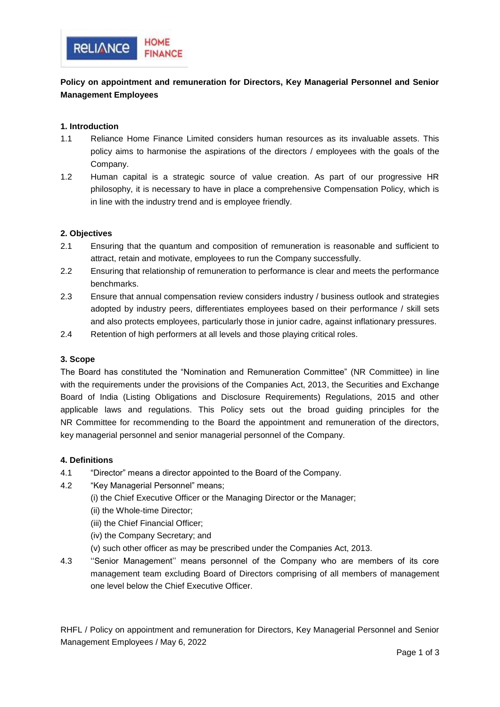

# **Policy on appointment and remuneration for Directors, Key Managerial Personnel and Senior Management Employees**

## **1. Introduction**

- 1.1 Reliance Home Finance Limited considers human resources as its invaluable assets. This policy aims to harmonise the aspirations of the directors / employees with the goals of the Company.
- 1.2 Human capital is a strategic source of value creation. As part of our progressive HR philosophy, it is necessary to have in place a comprehensive Compensation Policy, which is in line with the industry trend and is employee friendly.

#### **2. Objectives**

- 2.1 Ensuring that the quantum and composition of remuneration is reasonable and sufficient to attract, retain and motivate, employees to run the Company successfully.
- 2.2 Ensuring that relationship of remuneration to performance is clear and meets the performance benchmarks.
- 2.3 Ensure that annual compensation review considers industry / business outlook and strategies adopted by industry peers, differentiates employees based on their performance / skill sets and also protects employees, particularly those in junior cadre, against inflationary pressures.
- 2.4 Retention of high performers at all levels and those playing critical roles.

## **3. Scope**

The Board has constituted the "Nomination and Remuneration Committee" (NR Committee) in line with the requirements under the provisions of the Companies Act, 2013, the Securities and Exchange Board of India (Listing Obligations and Disclosure Requirements) Regulations, 2015 and other applicable laws and regulations. This Policy sets out the broad guiding principles for the NR Committee for recommending to the Board the appointment and remuneration of the directors, key managerial personnel and senior managerial personnel of the Company.

#### **4. Definitions**

- 4.1 "Director" means a director appointed to the Board of the Company.
- 4.2 "Key Managerial Personnel" means;
	- (i) the Chief Executive Officer or the Managing Director or the Manager;
	- (ii) the Whole-time Director;
	- (iii) the Chief Financial Officer;
	- (iv) the Company Secretary; and
	- (v) such other officer as may be prescribed under the Companies Act, 2013.
- 4.3 ''Senior Management'' means personnel of the Company who are members of its core management team excluding Board of Directors comprising of all members of management one level below the Chief Executive Officer.

RHFL / Policy on appointment and remuneration for Directors, Key Managerial Personnel and Senior Management Employees / May 6, 2022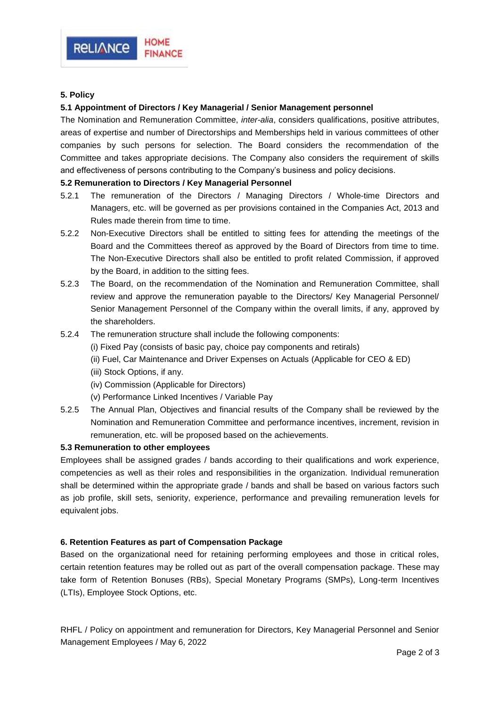

## **5. Policy**

#### **5.1 Appointment of Directors / Key Managerial / Senior Management personnel**

The Nomination and Remuneration Committee, *inter-alia*, considers qualifications, positive attributes, areas of expertise and number of Directorships and Memberships held in various committees of other companies by such persons for selection. The Board considers the recommendation of the Committee and takes appropriate decisions. The Company also considers the requirement of skills and effectiveness of persons contributing to the Company's business and policy decisions.

#### **5.2 Remuneration to Directors / Key Managerial Personnel**

- 5.2.1 The remuneration of the Directors / Managing Directors / Whole-time Directors and Managers, etc. will be governed as per provisions contained in the Companies Act, 2013 and Rules made therein from time to time.
- 5.2.2 Non-Executive Directors shall be entitled to sitting fees for attending the meetings of the Board and the Committees thereof as approved by the Board of Directors from time to time. The Non-Executive Directors shall also be entitled to profit related Commission, if approved by the Board, in addition to the sitting fees.
- 5.2.3 The Board, on the recommendation of the Nomination and Remuneration Committee, shall review and approve the remuneration payable to the Directors/ Key Managerial Personnel/ Senior Management Personnel of the Company within the overall limits, if any, approved by the shareholders.
- 5.2.4 The remuneration structure shall include the following components:
	- (i) Fixed Pay (consists of basic pay, choice pay components and retirals)
	- (ii) Fuel, Car Maintenance and Driver Expenses on Actuals (Applicable for CEO & ED)
	- (iii) Stock Options, if any.
	- (iv) Commission (Applicable for Directors)
	- (v) Performance Linked Incentives / Variable Pay
- 5.2.5 The Annual Plan, Objectives and financial results of the Company shall be reviewed by the Nomination and Remuneration Committee and performance incentives, increment, revision in remuneration, etc. will be proposed based on the achievements.

#### **5.3 Remuneration to other employees**

Employees shall be assigned grades / bands according to their qualifications and work experience, competencies as well as their roles and responsibilities in the organization. Individual remuneration shall be determined within the appropriate grade / bands and shall be based on various factors such as job profile, skill sets, seniority, experience, performance and prevailing remuneration levels for equivalent jobs.

#### **6. Retention Features as part of Compensation Package**

Based on the organizational need for retaining performing employees and those in critical roles, certain retention features may be rolled out as part of the overall compensation package. These may take form of Retention Bonuses (RBs), Special Monetary Programs (SMPs), Long-term Incentives (LTIs), Employee Stock Options, etc.

RHFL / Policy on appointment and remuneration for Directors, Key Managerial Personnel and Senior Management Employees / May 6, 2022